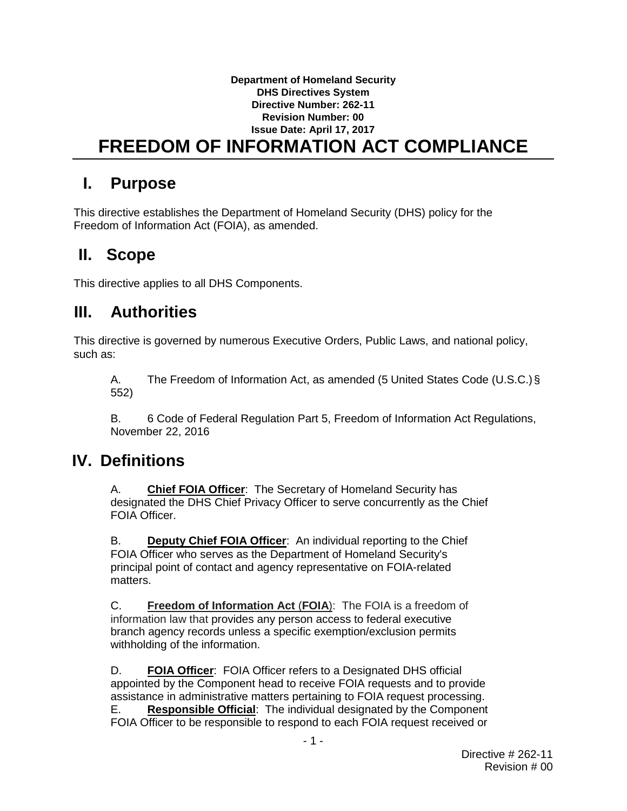#### **Department of Homeland Security DHS Directives System Directive Number: 262-11 Revision Number: 00 Issue Date: April 17, 2017 FREEDOM OF INFORMATION ACT COMPLIANCE**

### **I. Purpose**

This directive establishes the Department of Homeland Security (DHS) policy for the Freedom of Information Act (FOIA), as amended.

## **II. Scope**

This directive applies to all DHS Components.

# **III. Authorities**

This directive is governed by numerous Executive Orders, Public Laws, and national policy, such as:

A. The Freedom of Information Act, as amended (5 United States Code (U.S.C.)§ 552)

B. 6 Code of Federal Regulation Part 5, Freedom of Information Act Regulations, November 22, 2016

### **IV. Definitions**

A. **Chief FOIA Officer**: The Secretary of Homeland Security has designated the DHS Chief Privacy Officer to serve concurrently as the Chief FOIA Officer.

B. **Deputy Chief FOIA Officer**: An individual reporting to the Chief FOIA Officer who serves as the Department of Homeland Security's principal point of contact and agency representative on FOIA-related matters.

C. **Freedom of Information Act** (**FOIA**): The FOIA is a freedom of information law that provides any person access to federal executive branch agency records unless a specific exemption/exclusion permits withholding of the information.

D. **FOIA Officer**: FOIA Officer refers to a Designated DHS official appointed by the Component head to receive FOIA requests and to provide assistance in administrative matters pertaining to FOIA request processing. E. **Responsible Official**: The individual designated by the Component FOIA Officer to be responsible to respond to each FOIA request received or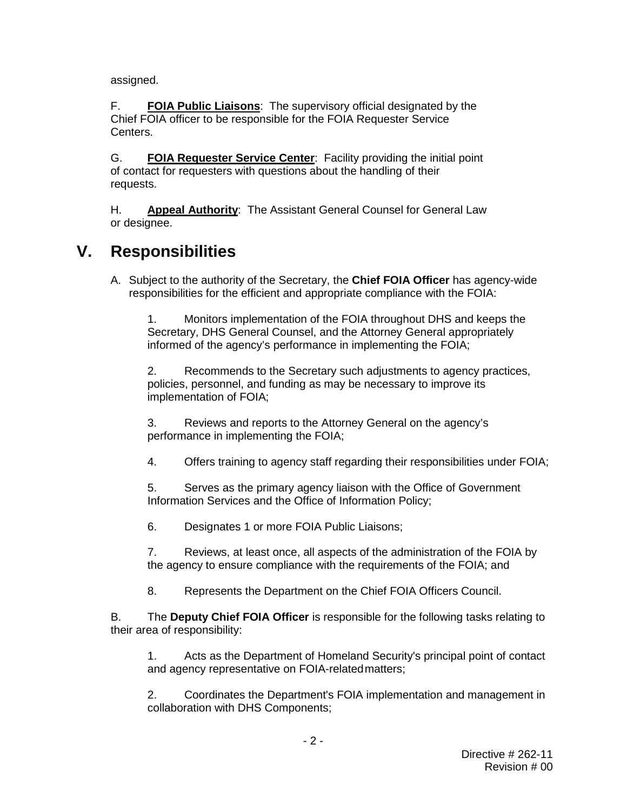assigned.

F. **FOIA Public Liaisons**: The supervisory official designated by the Chief FOIA officer to be responsible for the FOIA Requester Service Centers.

G. **FOIA Requester Service Center**: Facility providing the initial point of contact for requesters with questions about the handling of their requests.

H. **Appeal Authority**: The Assistant General Counsel for General Law or designee.

### **V. Responsibilities**

A. Subject to the authority of the Secretary, the **Chief FOIA Officer** has agency-wide responsibilities for the efficient and appropriate compliance with the FOIA:

1. Monitors implementation of the FOIA throughout DHS and keeps the Secretary, DHS General Counsel, and the Attorney General appropriately informed of the agency's performance in implementing the FOIA;

2. Recommends to the Secretary such adjustments to agency practices, policies, personnel, and funding as may be necessary to improve its implementation of FOIA;

3. Reviews and reports to the Attorney General on the agency's performance in implementing the FOIA;

4. Offers training to agency staff regarding their responsibilities under FOIA;

5. Serves as the primary agency liaison with the Office of Government Information Services and the Office of Information Policy;

6. Designates 1 or more FOIA Public Liaisons;

7. Reviews, at least once, all aspects of the administration of the FOIA by the agency to ensure compliance with the requirements of the FOIA; and

8. Represents the Department on the Chief FOIA Officers Council.

B. The **Deputy Chief FOIA Officer** is responsible for the following tasks relating to their area of responsibility:

1. Acts as the Department of Homeland Security's principal point of contact and agency representative on FOIA-relatedmatters;

2. Coordinates the Department's FOIA implementation and management in collaboration with DHS Components;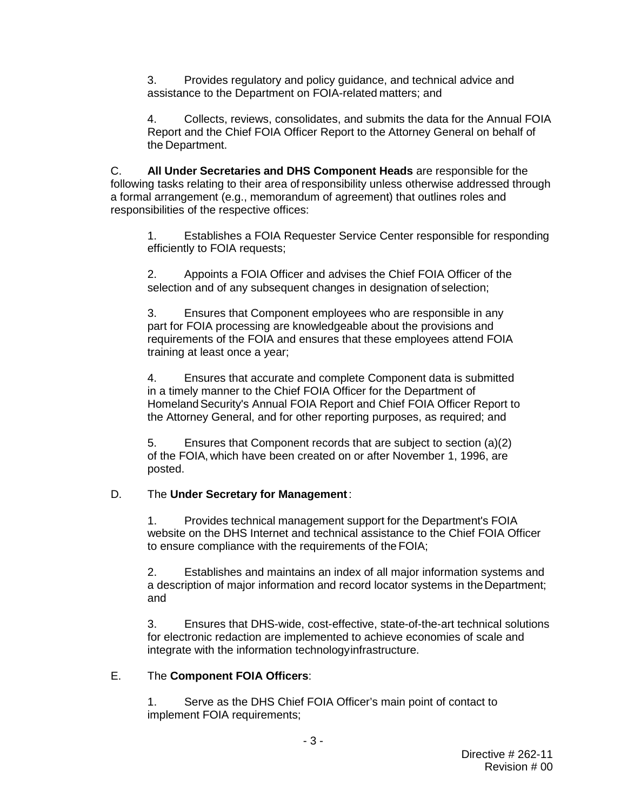3. Provides regulatory and policy guidance, and technical advice and assistance to the Department on FOIA-related matters; and

4. Collects, reviews, consolidates, and submits the data for the Annual FOIA Report and the Chief FOIA Officer Report to the Attorney General on behalf of the Department.

C. **All Under Secretaries and DHS Component Heads** are responsible for the following tasks relating to their area of responsibility unless otherwise addressed through a formal arrangement (e.g., memorandum of agreement) that outlines roles and responsibilities of the respective offices:

1. Establishes a FOIA Requester Service Center responsible for responding efficiently to FOIA requests;

2. Appoints a FOIA Officer and advises the Chief FOIA Officer of the selection and of any subsequent changes in designation of selection;

3. Ensures that Component employees who are responsible in any part for FOIA processing are knowledgeable about the provisions and requirements of the FOIA and ensures that these employees attend FOIA training at least once a year;

4. Ensures that accurate and complete Component data is submitted in a timely manner to the Chief FOIA Officer for the Department of Homeland Security's Annual FOIA Report and Chief FOIA Officer Report to the Attorney General, and for other reporting purposes, as required; and

5. Ensures that Component records that are subject to section (a)(2) of the FOIA, which have been created on or after November 1, 1996, are posted.

### D. The **Under Secretary for Management**:

1. Provides technical management support for the Department's FOIA website on the DHS Internet and technical assistance to the Chief FOIA Officer to ensure compliance with the requirements of the FOIA;

2. Establishes and maintains an index of all major information systems and a description of major information and record locator systems in theDepartment; and

3. Ensures that DHS-wide, cost-effective, state-of-the-art technical solutions for electronic redaction are implemented to achieve economies of scale and integrate with the information technologyinfrastructure.

### E. The **Component FOIA Officers**:

1. Serve as the DHS Chief FOIA Officer's main point of contact to implement FOIA requirements;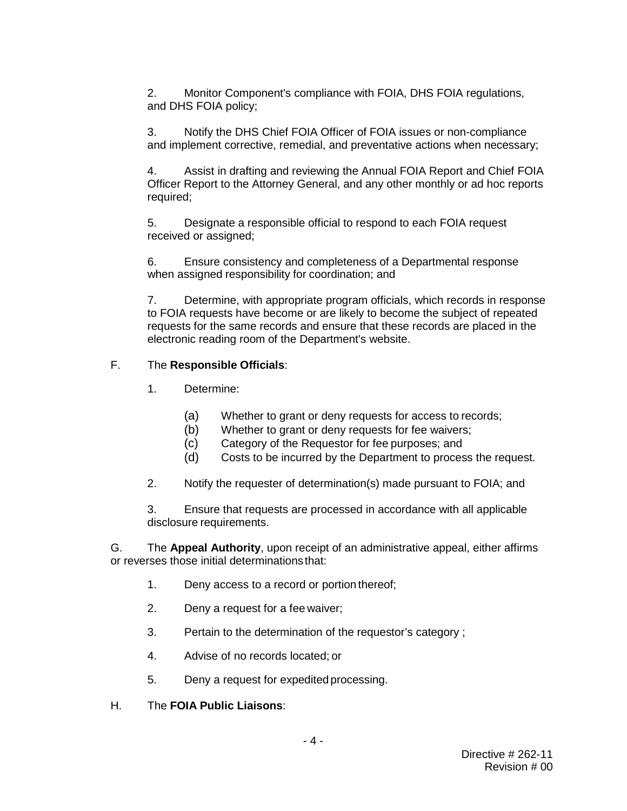2. Monitor Component's compliance with FOIA, DHS FOIA regulations, and DHS FOIA policy;

3. Notify the DHS Chief FOIA Officer of FOIA issues or non-compliance and implement corrective, remedial, and preventative actions when necessary;

4. Assist in drafting and reviewing the Annual FOIA Report and Chief FOIA Officer Report to the Attorney General, and any other monthly or ad hoc reports required;

5. Designate a responsible official to respond to each FOIA request received or assigned;

6. Ensure consistency and completeness of a Departmental response when assigned responsibility for coordination; and

7. Determine, with appropriate program officials, which records in response to FOIA requests have become or are likely to become the subject of repeated requests for the same records and ensure that these records are placed in the electronic reading room of the Department's website.

#### F. The **Responsible Officials**:

- 1. Determine:
	- (a) Whether to grant or deny requests for access to records;
	- (b) Whether to grant or deny requests for fee waivers;
	- (c) Category of the Requestor for fee purposes; and
	- (d) Costs to be incurred by the Department to process the request.
- 2. Notify the requester of determination(s) made pursuant to FOIA; and

3. Ensure that requests are processed in accordance with all applicable disclosure requirements.

G. The **Appeal Authority**, upon receipt of an administrative appeal, either affirms or reverses those initial determinationsthat:

- 1. Deny access to a record or portion thereof;
- 2. Deny a request for a fee waiver;
- 3. Pertain to the determination of the requestor's category ;
- 4. Advise of no records located; or
- 5. Deny a request for expedited processing.
- H. The **FOIA Public Liaisons**: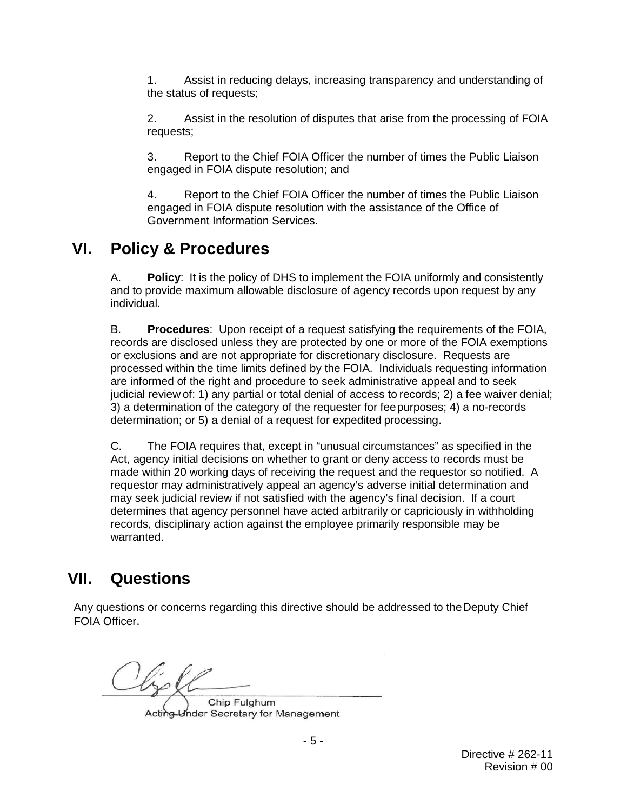1. Assist in reducing delays, increasing transparency and understanding of the status of requests;

2. Assist in the resolution of disputes that arise from the processing of FOIA requests;

3. Report to the Chief FOIA Officer the number of times the Public Liaison engaged in FOIA dispute resolution; and

4. Report to the Chief FOIA Officer the number of times the Public Liaison engaged in FOIA dispute resolution with the assistance of the Office of Government Information Services.

### **VI. Policy & Procedures**

A. **Policy**: It is the policy of DHS to implement the FOIA uniformly and consistently and to provide maximum allowable disclosure of agency records upon request by any individual.

B. **Procedures**: Upon receipt of a request satisfying the requirements of the FOIA, records are disclosed unless they are protected by one or more of the FOIA exemptions or exclusions and are not appropriate for discretionary disclosure. Requests are processed within the time limits defined by the FOIA. Individuals requesting information are informed of the right and procedure to seek administrative appeal and to seek judicial review of: 1) any partial or total denial of access to records; 2) a fee waiver denial; 3) a determination of the category of the requester for feepurposes; 4) a no-records determination; or 5) a denial of a request for expedited processing.

C. The FOIA requires that, except in "unusual circumstances" as specified in the Act, agency initial decisions on whether to grant or deny access to records must be made within 20 working days of receiving the request and the requestor so notified. A requestor may administratively appeal an agency's adverse initial determination and may seek judicial review if not satisfied with the agency's final decision. If a court determines that agency personnel have acted arbitrarily or capriciously in withholding records, disciplinary action against the employee primarily responsible may be warranted.

## **VII. Questions**

Any questions or concerns regarding this directive should be addressed to theDeputy Chief FOIA Officer.

Chip Fulghum Acting Under Secretary for Management